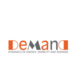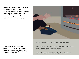We have learned that policies and measures to promote energy efficiency reproduce contemporary meanings of service which are (often) incompatible with radical reductions in carbon emissions.





Efficiency measures reproduce the status quo

Unsustainable meanings of comfort and demand are baked into technological 'solutions'

Technologies make and do not just meet demand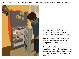Even efficient appliances enable increasingly energy demanding systems and networks of provision



In Hanoi and Bangkok, fridge freezers enable the diffusion of 'Western' diets, and resistance to these trends as well.

Appliances have a role in transforming ideas of care and convenience, wellbeing and food safety.

We have learned that increases and reductions in energy demand depend not on appliances alone but on how they are embedded in systems and networks of provision.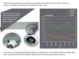We have learned about how activities are scheduled and sequenced across days, weeks and seasons, and about the potential for flexibility at every 'scale'.



We know how changing technologies, patterns of employment, and societal rhythms constitute each other and we know more about where opportunities to reduce peak demand really lie.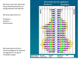We know a lot more about the living, breathing dynamics of energy demand and daily life

We know about forms of

Frequency Duration Synchronicity

We know that all of this is critical intelligence for demand management in an age of renewable supply.

#### Electricity use by appliance **Weekends** Weekdays

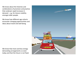We know about the histories and combinations of provision and practice that underpin rapid increases in demand – e.g. for leisure mobility amongst older people.

We know how different age cohorts encounter changing opportunities and ideas about travel and well being.

We know that more and less energy demanding arrangements co-exist today and that the future is not fixed.

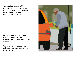We know how patterns of 'car dependence' become established, and we know that trends like these have different implications for different parts of society.

In daily life practices that matter for travel and for energy demand intersect - but not in research and not in policy.

We know that effective demand reduction depends on overcoming these divides.

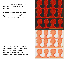Transport researchers talk of the demand for travel as 'derived' demand.

It is derived from what it is that people do. The same applies to all other forms of energy demand.

We have helped lots of people to ask different questions and collect different evidence about how demand is constituted, how it changes and how it can be steered.

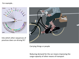### For example..



Into which other sequences of practices does car-driving fit?



Carrying things or people

Reducing demand for the car means improving the cargo-capacity of other means of transport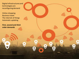Digital infrastructures and technologies are reconfiguring demand

Online shopping Business travel The internet of things Automatic updating

**First, second and third order demands**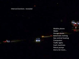Interconnections revealed

Mobile phone Water Garage doors Automatic locking Gas central heating **Computers** Traffic lights Cash machines Petrol pumps And a lot more…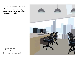We have learned that standards intended to reduce energy demand can lead to escalating energy consumption.

Property markets Office work Grade A office specification

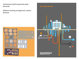Institutional rhythms generate peak demands.

Different working arrangements reduce demand.



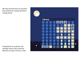We have learned that not all policy that matters for energy demand is 'energy policy'

Competition for students and rankings means that university libraries are open 24 hours a day.

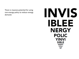There is massive potential for using non-energy policy to reduce energy demand.

## INVIS **IBLEE NERGY POLIC YINVI SIBLE ENERG YPOLI CYINV ISIBL**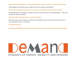### Reducing demand depends on understanding what energy is used for and how this changes

Technologies and infrastructures make and do not simply meet demand

### The timing and location of demand is an outcome of societal and institutional rhythms

Energy demands are shaped by energy policy, but also by many non-energy policies. These can be used to reduce demand.

### We have helped shift agendas in research and policy

We have shown what it takes to intervene in demand and we have shown that the future is not the present and it is not fixed.

www.demand.ac.uk

for details of DEMAND's research and for the ideas, interest and evidence we have generated.

# DYNAMICS OF ENERGY, MOBILITY AND DEMAND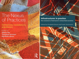## The Nexus of Practices

Connections, constellations, practitioners

Edited by **Allison Hui Theodore Schatzki Elizabeth Shove** 



### Infrastructures in practice: the evolution of demand in networked societies

Edited by Elizabeth Shove and Frank Trentmann